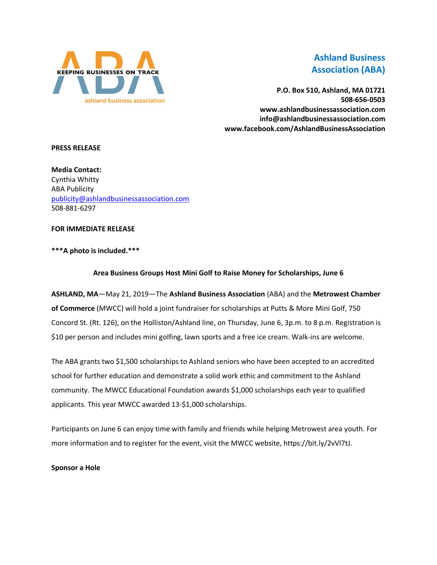

# **Ashland Business Association (ABA)**

**P.O. Box 510, Ashland, MA 01721 508-656-0503 www.ashlandbusinessassociation.com info@ashlandbusinessassociation.com www.facebook.com/AshlandBusinessAssociation**

#### **PRESS RELEASE**

**Media Contact:** Cynthia Whitty ABA Publicity [publicity@ashlandbusinessassociation.com](mailto:publicity@ashlandbusinessassociation.com) 508-881-6297

### **FOR IMMEDIATE RELEASE**

# **\*\*\*A photo is included.\*\*\***

# **Area Business Groups Host Mini Golf to Raise Money for Scholarships, June 6**

**ASHLAND, MA**—May 21, 2019—The **Ashland Business Association** (ABA) and the **Metrowest Chamber of Commerce** (MWCC) will hold a joint fundraiser for scholarships at Putts & More Mini Golf, 750 Concord St. (Rt. 126), on the Holliston/Ashland line, on Thursday, June 6, 3p.m. to 8 p.m. Registration is \$10 per person and includes mini golfing, lawn sports and a free ice cream. Walk-ins are welcome.

The ABA grants two \$1,500 scholarships to Ashland seniors who have been accepted to an accredited school for further education and demonstrate a solid work ethic and commitment to the Ashland community. The MWCC Educational Foundation awards \$1,000 scholarships each year to qualified applicants. This year MWCC awarded 13-\$1,000 scholarships.

Participants on June 6 can enjoy time with family and friends while helping Metrowest area youth. For more information and to register for the event, visit the MWCC website, https://bit.ly/2vVl7tJ.

**Sponsor a Hole**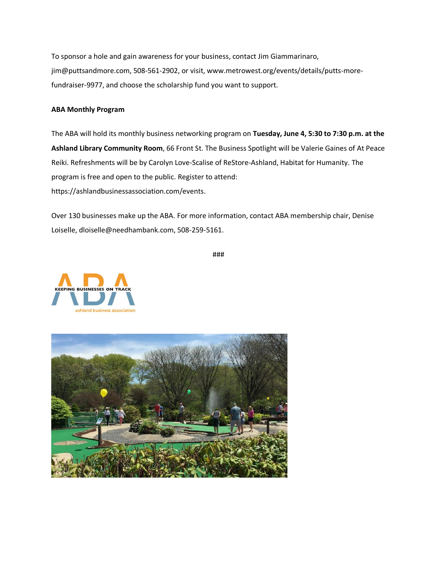To sponsor a hole and gain awareness for your business, contact Jim Giammarinaro, jim@puttsandmore.com, 508-561-2902, or visit, www.metrowest.org/events/details/putts-morefundraiser-9977, and choose the scholarship fund you want to support.

#### **ABA Monthly Program**

The ABA will hold its monthly business networking program on **Tuesday, June 4, 5:30 to 7:30 p.m. at the Ashland Library Community Room**, 66 Front St. The Business Spotlight will be Valerie Gaines of At Peace Reiki. Refreshments will be by Carolyn Love-Scalise of ReStore-Ashland, Habitat for Humanity. The program is free and open to the public. Register to attend: https://ashlandbusinessassociation.com/events.

Over 130 businesses make up the ABA. For more information, contact ABA membership chair, Denise Loiselle, dloiselle@needhambank.com, 508-259-5161.

###